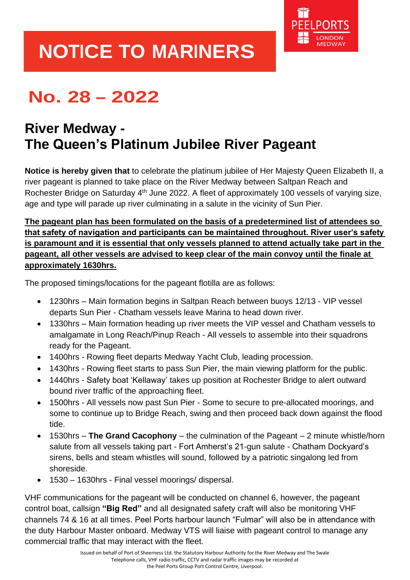

## **NOTICE TO MARINERS**

## **No. 28 – 2022**

## **River Medway - The Queen's Platinum Jubilee River Pageant**

**Notice is hereby given that** to celebrate the platinum jubilee of Her Majesty Queen Elizabeth II, a river pageant is planned to take place on the River Medway between Saltpan Reach and Rochester Bridge on Saturday 4<sup>th</sup> June 2022. A fleet of approximately 100 vessels of varying size, age and type will parade up river culminating in a salute in the vicinity of Sun Pier.

**The pageant plan has been formulated on the basis of a predetermined list of attendees so that safety of navigation and participants can be maintained throughout. River user's safety is paramount and it is essential that only vessels planned to attend actually take part in the pageant, all other vessels are advised to keep clear of the main convoy until the finale at approximately 1630hrs.**

The proposed timings/locations for the pageant flotilla are as follows:

- 1230hrs Main formation begins in Saltpan Reach between buoys 12/13 VIP vessel departs Sun Pier - Chatham vessels leave Marina to head down river.
- 1330hrs Main formation heading up river meets the VIP vessel and Chatham vessels to amalgamate in Long Reach/Pinup Reach - All vessels to assemble into their squadrons ready for the Pageant.
- 1400hrs Rowing fleet departs Medway Yacht Club, leading procession.
- 1430hrs Rowing fleet starts to pass Sun Pier, the main viewing platform for the public.
- 1440hrs Safety boat 'Kellaway' takes up position at Rochester Bridge to alert outward bound river traffic of the approaching fleet.
- 1500hrs All vessels now past Sun Pier Some to secure to pre-allocated moorings, and some to continue up to Bridge Reach, swing and then proceed back down against the flood tide.
- 1530hrs **The Grand Cacophony** the culmination of the Pageant 2 minute whistle/horn salute from all vessels taking part - Fort Amherst's 21-gun salute - Chatham Dockyard's sirens, bells and steam whistles will sound, followed by a patriotic singalong led from shoreside.
- 1530 1630hrs Final vessel moorings/ dispersal.

VHF communications for the pageant will be conducted on channel 6, however, the pageant control boat, callsign **"Big Red"** and all designated safety craft will also be monitoring VHF channels 74 & 16 at all times. Peel Ports harbour launch "Fulmar" will also be in attendance with the duty Harbour Master onboard. Medway VTS will liaise with pageant control to manage any commercial traffic that may interact with the fleet.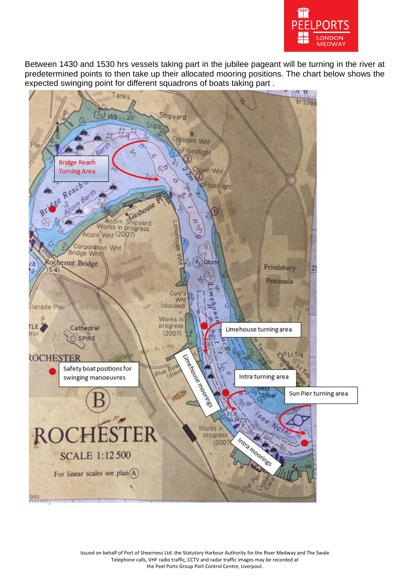

Between 1430 and 1530 hrs vessels taking part in the jubilee pageant will be turning in the river at predetermined points to then take up their allocated mooring positions. The chart below shows the expected swinging point for different squadrons of boats taking part .



Issued on behalf of Port of Sheerness Ltd. the Statutory Harbour Authority for the River Medway and The Swale Telephone calls, VHF radio traffic, CCTV and radar traffic images may be recorded at the Peel Ports Group Port Control Centre, Liverpool.